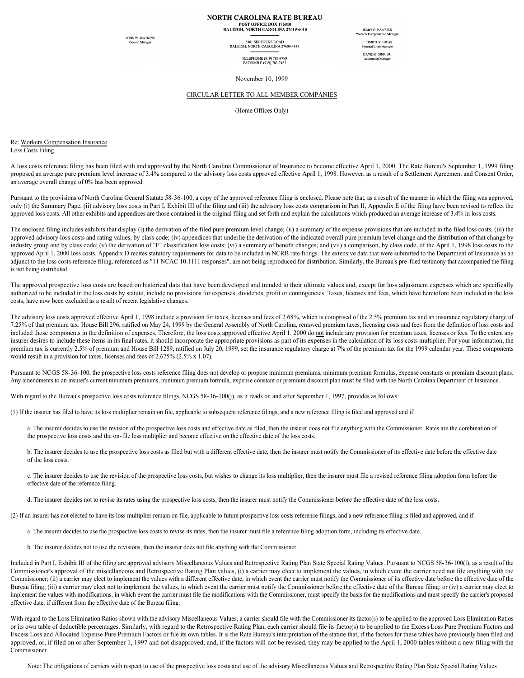## **NORTH CAROLINA RATE BUREAU** POST OFFICE BOX 176010<br>RALEIGH, NORTH CAROLINA 27619-6010

**JOHN W WATKINS** 

5401 SIX FORKS ROAD<br>RALEIGH, NORTH CAROLINA 27609-4435

TELEPHONE (919) 783-9790<br>FACSIMILE (919) 783-7467

**JERRY G. HAMRICK** F. TIMOTHY LUCAS anal Lines Me DAVID E. SINK, JR

November 10, 1999

## CIRCULAR LETTER TO ALL MEMBER COMPANIES

(Home Offices Only)

Re: Workers Compensation Insurance Loss Costs Filing

A loss costs reference filing has been filed with and approved by the North Carolina Commissioner of Insurance to become effective April 1, 2000. The Rate Bureau's September 1, 1999 filing proposed an average pure premium level increase of 3.4% compared to the advisory loss costs approved effective April 1, 1998. However, as a result of a Settlement Agreement and Consent Order, an average overall change of 0% has been approved.

Pursuant to the provisions of North Carolina General Statute 58-36-100, a copy of the approved reference filing is enclosed. Please note that, as a result of the manner in which the filing was approved, only (i) the Summary Page, (ii) advisory loss costs in Part I, Exhibit III of the filing and (iii) the advisory loss costs comparison in Part II, Appendix E of the filing have been revised to reflect the approved loss costs. All other exhibits and appendices are those contained in the original filing and set forth and explain the calculations which produced an average increase of 3.4% in loss costs.

The enclosed filing includes exhibits that display (i) the derivation of the filed pure premium level change; (ii) a summary of the expense provisions that are included in the filed loss costs, (iii) the approved advisory loss costs and rating values, by class code; (iv) appendices that underlie the derivation of the indicated overall pure premium level change and the distribution of that change by industry group and by class code; (v) the derivation of "F" classification loss costs; (vi) a summary of benefit changes; and (vii) a comparison, by class code, of the April 1, 1998 loss costs to the approved April 1, 2000 loss costs. Appendix D recites statutory requirements for data to be included in NCRB rate filings. The extensive data that were submitted to the Department of Insurance as an adjunct to the loss costs reference filing, referenced as "11 NCAC 10.1111 responses", are not being reproduced for distribution. Similarly, the Bureau's pre-filed testimony that accompanied the filing is not being distributed.

The approved prospective loss costs are based on historical data that have been developed and trended to their ultimate values and, except for loss adjustment expenses which are specifically authorized to be included in the loss costs by statute, include no provisions for expenses, dividends, profit or contingencies. Taxes, licenses and fees, which have heretofore been included in the loss costs, have now been excluded as a result of recent legislative changes.

The advisory loss costs approved effective April 1, 1998 include a provision for taxes, licenses and fees of 2.68%, which is comprised of the 2.5% premium tax and an insurance regulatory charge of 7.25% of that premium tax. House Bill 296, ratified on May 24, 1999 by the General Assembly of North Carolina, removed premium taxes, licensing costs and fees from the definition of loss costs and included those components in the definition of expenses. Therefore, the loss costs approved effective April 1, 2000 do not include any provision for premium taxes, licenses or fees. To the extent any insurer desires to include these items in its final rates, it should incorporate the appropriate provisions as part of its expenses in the calculation of its loss costs multiplier. For your information, the premium tax is currently 2.5% of premium and House Bill 1289, ratified on July 20, 1999, set the insurance regulatory charge at 7% of the premium tax for the 1999 calendar year. These components would result in a provision for taxes, licenses and fees of 2.675% (2.5% x 1.07).

Pursuant to NCGS 58-36-100, the prospective loss costs reference filing does not develop or propose minimum premiums, minimum premium formulas, expense constants or premium discount plans. Any amendments to an insurer's current minimum premiums, minimum premium formula, expense constant or premium discount plan must be filed with the North Carolina Department of Insurance.

With regard to the Bureau's prospective loss costs reference filings, NCGS 58-36-100(j), as it reads on and after September 1, 1997, provides as follows:

(1) If the insurer has filed to have its loss multiplier remain on file, applicable to subsequent reference filings, and a new reference filing is filed and approved and if:

a. The insurer decides to use the revision of the prospective loss costs and effective date as filed, then the insurer does not file anything with the Commissioner. Rates are the combination of the prospective loss costs and the on-file loss multiplier and become effective on the effective date of the loss costs.

b. The insurer decides to use the prospective loss costs as filed but with a different effective date, then the insurer must notify the Commissioner of its effective date before the effective date of the loss costs.

c. The insurer decides to use the revision of the prospective loss costs, but wishes to change its loss multiplier, then the insurer must file a revised reference filing adoption form before the effective date of the reference filing.

d. The insurer decides not to revise its rates using the prospective loss costs, then the insurer must notify the Commissioner before the effective date of the loss costs.

(2) If an insurer has not elected to have its loss multiplier remain on file, applicable to future prospective loss costs reference filings, and a new reference filing is filed and approved, and if:

a. The insurer decides to use the prospective loss costs to revise its rates, then the insurer must file a reference filing adoption form, including its effective date.

b. The insurer decides not to use the revisions, then the insurer does not file anything with the Commissioner.

Included in Part I, Exhibit III of the filing are approved advisory Miscellaneous Values and Retrospective Rating Plan State Special Rating Values. Pursuant to NCGS 58-36-100(l), as a result of the Commissioner's approval of the miscellaneous and Retrospective Rating Plan values, (i) a carrier may elect to implement the values, in which event the carrier need not file anything with the Commissioner; (ii) a carrier may elect to implement the values with a different effective date, in which event the carrier must notify the Commissioner of its effective date before the effective date of the Bureau filing; (iii) a carrier may elect not to implement the values, in which event the carrier must notify the Commissioner before the effective date of the Bureau filing; or (iv) a carrier may elect to implement the values with modifications, in which event the carrier must file the modifications with the Commissioner, must specify the basis for the modifications and must specify the carrier's proposed effective date, if different from the effective date of the Bureau filing.

With regard to the Loss Elimination Ratios shown with the advisory Miscellaneous Values, a carrier should file with the Commissioner its factor(s) to be applied to the approved Loss Elimination Ratios or its own table of deductible percentages. Similarly, with regard to the Retrospective Rating Plan, each carrier should file its factor(s) to be applied to the Excess Loss Pure Premium Factors and Excess Loss and Allocated Expense Pure Premium Factors or file its own tables. It is the Rate Bureau's interpretation of the statute that, if the factors for these tables have previously been filed and approved, or, if filed on or after September 1, 1997 and not disapproved, and, if the factors will not be revised, they may be applied to the April 1, 2000 tables without a new filing with the Commissioner.

Note: The obligations of carriers with respect to use of the prospective loss costs and use of the advisory Miscellaneous Values and Retrospective Rating Plan State Special Rating Values